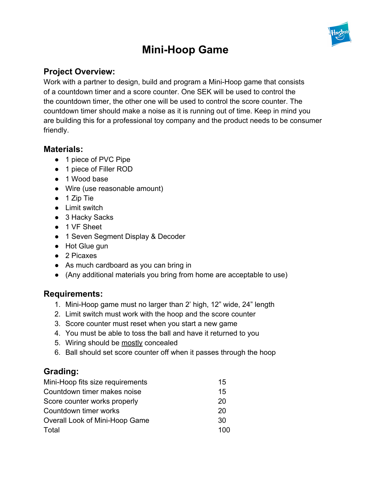

# **Mini-Hoop Game**

## **Project Overview:**

Work with a partner to design, build and program a Mini-Hoop game that consists of a countdown timer and a score counter. One SEK will be used to control the the countdown timer, the other one will be used to control the score counter. The countdown timer should make a noise as it is running out of time. Keep in mind you are building this for a professional toy company and the product needs to be consumer friendly.

#### **Materials:**

- 1 piece of PVC Pipe
- 1 piece of Filler ROD
- 1 Wood base
- Wire (use reasonable amount)
- 1 Zip Tie
- Limit switch
- 3 Hacky Sacks
- 1 VF Sheet
- 1 Seven Segment Display & Decoder
- Hot Glue gun
- 2 Picaxes
- As much cardboard as you can bring in
- (Any additional materials you bring from home are acceptable to use)

### **Requirements:**

- 1. Mini-Hoop game must no larger than 2' high, 12" wide, 24" length
- 2. Limit switch must work with the hoop and the score counter
- 3. Score counter must reset when you start a new game
- 4. You must be able to toss the ball and have it returned to you
- 5. Wiring should be mostly concealed
- 6. Ball should set score counter off when it passes through the hoop

## **Grading:**

| Mini-Hoop fits size requirements | 15  |
|----------------------------------|-----|
| Countdown timer makes noise      | 15  |
| Score counter works properly     | 20  |
| Countdown timer works            | 20  |
| Overall Look of Mini-Hoop Game   | 30  |
| Total                            | 100 |